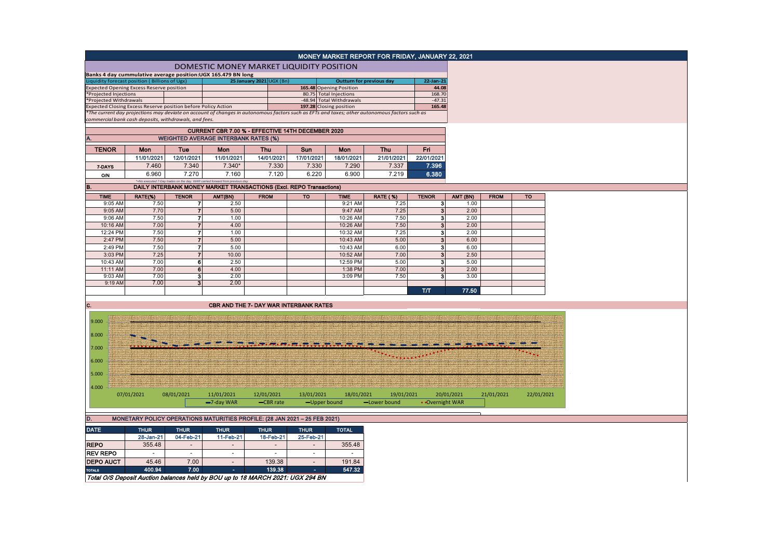|                                                 |                                                               |                                               |                                                                            |                                               |                          |                                                     | MONEY MARKET REPORT FOR FRIDAY, JANUARY 22, 2021                                                                                              |                                |                          |
|-------------------------------------------------|---------------------------------------------------------------|-----------------------------------------------|----------------------------------------------------------------------------|-----------------------------------------------|--------------------------|-----------------------------------------------------|-----------------------------------------------------------------------------------------------------------------------------------------------|--------------------------------|--------------------------|
|                                                 |                                                               |                                               | DOMESTIC MONEY MARKET LIQUIDITY POSITION                                   |                                               |                          |                                                     |                                                                                                                                               |                                |                          |
|                                                 |                                                               |                                               | Banks 4 day cummulative average position: UGX 165.479 BN long              |                                               |                          |                                                     |                                                                                                                                               |                                |                          |
|                                                 | iquidity forecast position (Billions of Ugx)                  |                                               |                                                                            | 25 January 2021 UGX (Bn)                      |                          | <b>Outturn for previous day</b>                     |                                                                                                                                               | $22$ -Jan-21                   |                          |
|                                                 | <b>Expected Opening Excess Reserve position</b>               |                                               |                                                                            |                                               | 80.75                    | 165.48 Opening Position                             |                                                                                                                                               | 44.08<br>168.70                |                          |
| *Projected Injections<br>*Projected Withdrawals |                                                               |                                               |                                                                            |                                               |                          | <b>Total Injections</b><br>-48.94 Total Withdrawals |                                                                                                                                               | $-47.31$                       |                          |
|                                                 | Expected Closing Excess Reserve position before Policy Action |                                               |                                                                            |                                               |                          | 197.28 Closing position                             |                                                                                                                                               | 165.48                         |                          |
|                                                 |                                                               |                                               |                                                                            |                                               |                          |                                                     | *The current day projections may deviate on account of changes in autonomous factors such as EFTs and taxes; other autonomous factors such as |                                |                          |
|                                                 | commercial bank cash deposits, withdrawals, and fees.         |                                               |                                                                            |                                               |                          |                                                     |                                                                                                                                               |                                |                          |
|                                                 |                                                               |                                               | CURRENT CBR 7.00 % - EFFECTIVE 14TH DECEMBER 2020                          |                                               |                          |                                                     |                                                                                                                                               |                                |                          |
|                                                 |                                                               |                                               | <b>WEIGHTED AVERAGE INTERBANK RATES (%)</b>                                |                                               |                          |                                                     |                                                                                                                                               |                                |                          |
| <b>TENOR</b>                                    | Mon                                                           | Tue                                           | Mon                                                                        | <b>Thu</b>                                    | Sun                      | Mon                                                 | Thu                                                                                                                                           | Fri                            |                          |
|                                                 | 11/01/2021                                                    | 12/01/2021                                    | 11/01/2021                                                                 | 14/01/2021                                    | 17/01/2021               | 18/01/2021                                          | 21/01/2021                                                                                                                                    | 22/01/2021                     |                          |
| 7-DAYS                                          | 7.460                                                         | 7.340                                         | $7.340*$                                                                   | 7.330                                         | 7.330                    | 7.290                                               | 7.337                                                                                                                                         | 7.396                          |                          |
| 0/N                                             | 6.960                                                         | 7.270                                         | 7.160                                                                      | 7.120                                         | 6.220                    | 6.900                                               | 7.219                                                                                                                                         | 6.380                          |                          |
| В.                                              |                                                               | *=No executed 7-Day trades on the day. WAR ca | led forward from pr                                                        |                                               |                          |                                                     |                                                                                                                                               |                                |                          |
|                                                 |                                                               |                                               | DAILY INTERBANK MONEY MARKET TRANSACTIONS (Excl. REPO Transactions)        |                                               |                          |                                                     |                                                                                                                                               |                                |                          |
| <b>TIME</b><br>9:05 AM                          | RATE(%)<br>7.50                                               | <b>TENOR</b><br>$\overline{7}$                | AMT(BN)<br>2.50                                                            | <b>FROM</b>                                   | <b>TO</b>                | <b>TIME</b><br>9:21 AM                              | <b>RATE (%)</b><br>7.25                                                                                                                       | <b>TENOR</b><br>3 <sup>1</sup> | AMT (BN)<br>1.00         |
| 9:05 AM                                         | 7.70                                                          | $\overline{7}$                                | 5.00                                                                       |                                               |                          | 9:47 AM                                             | 7.25                                                                                                                                          | $\mathbf{3}$                   | 2.00                     |
| 9:06 AM                                         | 7.50                                                          | $\overline{7}$                                | 1.00                                                                       |                                               |                          | 10:26 AM                                            | 7.50                                                                                                                                          | 3 <sup>1</sup>                 | 2.00                     |
| 10:16 AM                                        | 7.00                                                          | $\overline{7}$                                | 4.00                                                                       |                                               |                          | 10:26 AM                                            | 7.50                                                                                                                                          | 3                              | 2.00                     |
| 12:24 PM                                        | 7.50                                                          | $\overline{7}$                                | 1.00                                                                       |                                               |                          | 10:32 AM                                            | 7.25                                                                                                                                          | 3 <sup>1</sup>                 | 2.00                     |
| 2:47 PM                                         | 7.50                                                          | $\overline{7}$                                | 5.00                                                                       |                                               |                          | 10:43 AM                                            | 5.00                                                                                                                                          | 3 <sup>1</sup>                 | 6.00                     |
| 2:49 PM                                         | 7.50                                                          | $\overline{7}$                                | 5.00                                                                       |                                               |                          | 10:43 AM                                            | 6.00                                                                                                                                          | 3                              | 6.00                     |
| 3:03 PM                                         | 7.25                                                          | $\overline{7}$                                | 10.00                                                                      |                                               |                          | 10:52 AM                                            | 7.00                                                                                                                                          | 3                              | 2.50                     |
| 10:43 AM                                        | 7.00                                                          | 6                                             | 2.50                                                                       |                                               |                          | 12:59 PM                                            | 5.00                                                                                                                                          | 3 <sup>1</sup>                 | 5.00                     |
| 11:11 AM                                        | 7.00                                                          | 6                                             | 4.00                                                                       |                                               |                          | 1:38 PM                                             | 7.00                                                                                                                                          | 3 <sup>1</sup>                 | 2.00                     |
| 9:03 AM                                         | 7.00                                                          | 3 <sup>1</sup>                                | 2.00                                                                       |                                               |                          | 3:09 PM                                             | 7.50                                                                                                                                          | 3                              | 3.00                     |
| 9:19 AM                                         | 7.00                                                          | 3                                             | 2.00                                                                       |                                               |                          |                                                     |                                                                                                                                               | T/T                            | 77.50                    |
|                                                 |                                                               |                                               |                                                                            |                                               |                          |                                                     |                                                                                                                                               |                                |                          |
|                                                 |                                                               |                                               |                                                                            | <b>CBR AND THE 7- DAY WAR INTERBANK RATES</b> |                          |                                                     |                                                                                                                                               |                                |                          |
|                                                 |                                                               |                                               |                                                                            |                                               |                          |                                                     |                                                                                                                                               |                                |                          |
|                                                 |                                                               |                                               |                                                                            |                                               |                          |                                                     |                                                                                                                                               |                                |                          |
|                                                 |                                                               |                                               |                                                                            |                                               |                          |                                                     |                                                                                                                                               |                                |                          |
| 9.000                                           |                                                               |                                               |                                                                            |                                               |                          |                                                     |                                                                                                                                               |                                |                          |
| 8.000                                           |                                                               |                                               |                                                                            |                                               |                          |                                                     |                                                                                                                                               |                                |                          |
|                                                 |                                                               |                                               |                                                                            |                                               |                          |                                                     |                                                                                                                                               |                                |                          |
| С.<br>7.000                                     |                                                               |                                               |                                                                            |                                               |                          |                                                     |                                                                                                                                               |                                |                          |
| 6.000                                           |                                                               |                                               |                                                                            |                                               |                          |                                                     |                                                                                                                                               |                                |                          |
|                                                 |                                                               |                                               |                                                                            |                                               |                          |                                                     |                                                                                                                                               |                                |                          |
| 5.000                                           |                                                               |                                               |                                                                            |                                               |                          |                                                     |                                                                                                                                               |                                |                          |
|                                                 |                                                               |                                               |                                                                            |                                               |                          |                                                     |                                                                                                                                               |                                |                          |
| 4.000                                           |                                                               |                                               |                                                                            |                                               |                          |                                                     |                                                                                                                                               |                                |                          |
|                                                 | 07/01/2021                                                    | 08/01/2021                                    | 11/01/2021                                                                 | 12/01/2021                                    | 13/01/2021               | 18/01/2021                                          | 19/01/2021                                                                                                                                    |                                | 20/01/2021<br>21/01/2021 |
|                                                 |                                                               |                                               | -7-day WAR                                                                 | -CBR rate                                     | -Upper bound             |                                                     | -Lower bound                                                                                                                                  | • Overnight WAR                |                          |
|                                                 |                                                               |                                               |                                                                            |                                               |                          |                                                     |                                                                                                                                               |                                |                          |
| D.                                              |                                                               |                                               | MONETARY POLICY OPERATIONS MATURITIES PROFILE: (28 JAN 2021 - 25 FEB 2021) |                                               |                          |                                                     |                                                                                                                                               |                                |                          |
| <b>DATE</b>                                     | <b>THUR</b>                                                   | <b>THUR</b>                                   | <b>THUR</b>                                                                | <b>THUR</b>                                   | <b>THUR</b>              | <b>TOTAL</b>                                        |                                                                                                                                               |                                |                          |
|                                                 | 28-Jan-21                                                     | 04-Feb-21                                     | 11-Feb-21                                                                  | 18-Feb-21                                     | 25-Feb-21                |                                                     |                                                                                                                                               |                                |                          |
| <b>REPO</b>                                     | 355.48                                                        | $\overline{\phantom{a}}$                      | $\overline{\phantom{a}}$                                                   | $\overline{\phantom{a}}$                      | $\overline{\phantom{a}}$ | 355.48                                              |                                                                                                                                               |                                |                          |
| <b>REV REPO</b>                                 |                                                               | $\mathbf{r}$                                  | $\blacksquare$                                                             | $\sim$                                        | $\sim$                   |                                                     |                                                                                                                                               |                                |                          |
| <b>DEPO AUCT</b><br><b>TOTALS</b>               | 45.46<br>400.94                                               | 7.00<br>7.00                                  | $\overline{a}$<br>$\sim$                                                   | 139.38<br>139.38                              | $\overline{a}$<br>÷.     | 191.84<br>547.32                                    |                                                                                                                                               |                                |                          |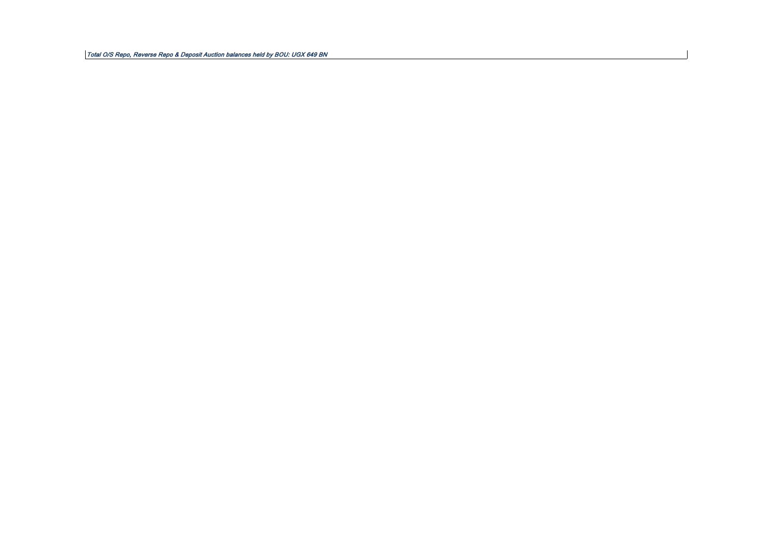Total O/S Repo, Reverse Repo & Deposit Auction balances held by BOU: UGX 649 BN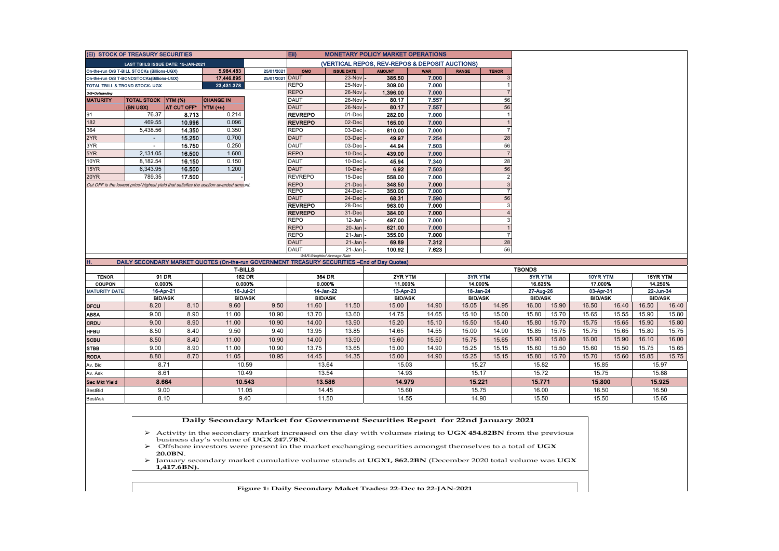| (Ei) STOCK OF TREASURY SECURITIES                                          |                        |                  |                                                                                       | Eii)<br><b>MONETARY POLICY MARKET OPERATIONS</b> |                                                |                                                                                              |                 |                |                |                      |                |           |                |           |                |       |
|----------------------------------------------------------------------------|------------------------|------------------|---------------------------------------------------------------------------------------|--------------------------------------------------|------------------------------------------------|----------------------------------------------------------------------------------------------|-----------------|----------------|----------------|----------------------|----------------|-----------|----------------|-----------|----------------|-------|
| LAST TBIILS ISSUE DATE: 15-JAN-2021                                        |                        |                  |                                                                                       |                                                  | (VERTICAL REPOS, REV-REPOS & DEPOSIT AUCTIONS) |                                                                                              |                 |                |                |                      |                |           |                |           |                |       |
| 5,984,483<br>25/01/2021<br>On-the-run O/S T-BILL STOCKs (Billions-UGX)     |                        |                  | OMO                                                                                   | <b>ISSUE DATE</b>                                | <b>AMOUNT</b>                                  | <b>WAR</b>                                                                                   | <b>RANGE</b>    | <b>TENOR</b>   |                |                      |                |           |                |           |                |       |
| 25/01/2021 DAUT<br>17,446.895<br>On-the-run O/S T-BONDSTOCKs(Billions-UGX) |                        |                  |                                                                                       | $23-Nov$                                         | 385.50                                         | 7.000                                                                                        |                 | 3              |                |                      |                |           |                |           |                |       |
| 23,431.378<br>TOTAL TBILL & TBOND STOCK- UGX                               |                        |                  | <b>REPO</b>                                                                           | 25-Nov                                           | 309.00                                         | 7.000                                                                                        |                 | 1              |                |                      |                |           |                |           |                |       |
| O/S=Outstanding                                                            |                        |                  |                                                                                       |                                                  | <b>REPO</b>                                    | 26-Nov                                                                                       | 1,396.00        | 7.000          |                | $\overline{7}$       |                |           |                |           |                |       |
| <b>MATURITY</b>                                                            | TOTAL STOCK YTM (%)    |                  | <b>CHANGE IN</b>                                                                      |                                                  | DAUT                                           | 26-Nov                                                                                       | 80.17           | 7.557          |                | 56                   |                |           |                |           |                |       |
|                                                                            | (BN UGX)               | AT CUT OFF*      | YTM (+/-)<br>0.214                                                                    |                                                  | <b>DAUT</b><br><b>REVREPO</b>                  | 26-Nov                                                                                       | 80.17           | 7.557          |                | 56<br>$\overline{1}$ |                |           |                |           |                |       |
| 91                                                                         | 76.37<br>469.55        | 8.713            | 0.096                                                                                 |                                                  |                                                | 01-Dec                                                                                       | 282.00          | 7.000          |                | $\mathbf{1}$         |                |           |                |           |                |       |
| 182<br>364                                                                 | 5,438.56               | 10.996<br>14.350 | 0.350                                                                                 |                                                  | <b>REVREPO</b>                                 | 02-Dec<br>03-Dec                                                                             | 165.00          | 7.000<br>7.000 |                | $\overline{7}$       |                |           |                |           |                |       |
| 2YR                                                                        |                        | 15.250           | 0.700                                                                                 |                                                  | <b>REPO</b><br><b>DAUT</b>                     | 03-Dec                                                                                       | 810.00<br>49.97 | 7.254          |                | 28                   |                |           |                |           |                |       |
| 3YR                                                                        |                        | 15.750           | 0.250                                                                                 |                                                  | DAUT                                           | 03-Dec                                                                                       | 44.94           | 7.503          |                | 56                   |                |           |                |           |                |       |
| 5YR                                                                        | 2,131.05               | 16.500           | 1.600                                                                                 |                                                  | <b>REPO</b>                                    | 10-Dec                                                                                       | 439.00          | 7.000          |                | $\overline{7}$       |                |           |                |           |                |       |
| 10YR                                                                       | 8,182.54               | 16.150           | 0.150                                                                                 |                                                  | DAUT                                           | 10-Dec                                                                                       | 45.94           | 7.340          |                | 28                   |                |           |                |           |                |       |
| 15YR                                                                       | 6,343.95               | 16.500           | 1.200                                                                                 |                                                  | <b>DAUT</b>                                    | 10-Dec                                                                                       | 6.92            | 7.503          |                | 56                   |                |           |                |           |                |       |
| 20YR                                                                       | 789.35                 | 17.500           |                                                                                       |                                                  | <b>REVREPO</b>                                 | 15-Dec                                                                                       | 558.00          | 7.000          |                | $\overline{2}$       |                |           |                |           |                |       |
|                                                                            |                        |                  | Cut OFF is the lowest price/ highest yield that satisfies the auction awarded amount. |                                                  | <b>REPO</b>                                    | 21-Dec                                                                                       | 348.50          | 7.000          |                | $\overline{3}$       |                |           |                |           |                |       |
|                                                                            |                        |                  |                                                                                       |                                                  | <b>REPO</b>                                    | 24-Dec                                                                                       | 350.00          | 7.000          |                | 7                    |                |           |                |           |                |       |
|                                                                            |                        |                  |                                                                                       |                                                  | <b>DAUT</b>                                    | 24-Dec                                                                                       | 68.31           | 7.590          |                | 56                   |                |           |                |           |                |       |
|                                                                            |                        |                  |                                                                                       |                                                  | <b>REVREPO</b>                                 | 28-Dec                                                                                       | 963.00          | 7.000          |                | 3                    |                |           |                |           |                |       |
|                                                                            |                        |                  |                                                                                       |                                                  | <b>REVREPO</b>                                 | 31-Dec                                                                                       | 384.00          | 7.000          |                | 4                    |                |           |                |           |                |       |
|                                                                            |                        |                  |                                                                                       |                                                  | <b>REPO</b>                                    | 12-Jan                                                                                       | 497.00          | 7.000          |                | 3                    |                |           |                |           |                |       |
|                                                                            |                        |                  |                                                                                       |                                                  | <b>REPO</b>                                    | 20-Jan                                                                                       | 621.00          | 7.000          |                | $\overline{1}$       |                |           |                |           |                |       |
|                                                                            |                        |                  |                                                                                       |                                                  | <b>REPO</b>                                    | 21-Jan                                                                                       | 355.00          | 7.000          |                | $\overline{7}$       |                |           |                |           |                |       |
|                                                                            |                        |                  |                                                                                       |                                                  | <b>DAUT</b>                                    | $21 - Jan$                                                                                   | 69.89           | 7.312          |                | 28                   |                |           |                |           |                |       |
|                                                                            |                        |                  |                                                                                       |                                                  | <b>DAUT</b>                                    | $21 - Jan$<br>WAR-Weighted Average Rate                                                      | 100.92          | 7.623          |                | 56                   |                |           |                |           |                |       |
| Η.                                                                         |                        |                  |                                                                                       |                                                  |                                                | DAILY SECONDARY MARKET QUOTES (On-the-run GOVERNMENT TREASURY SECURITIES -End of Day Quotes) |                 |                |                |                      |                |           |                |           |                |       |
|                                                                            |                        |                  |                                                                                       | <b>T-BILLS</b>                                   |                                                |                                                                                              |                 |                |                |                      | <b>TBONDS</b>  |           |                |           |                |       |
| 91 DR<br><b>182 DR</b><br><b>TENOR</b>                                     |                        |                  |                                                                                       |                                                  | 364 DR<br>2YR YTM                              |                                                                                              |                 | 3YR YTM        |                | 5YR YTM              |                | 10YR YTM  |                | 15YR YTM  |                |       |
| <b>COUPON</b>                                                              | 0.000%                 |                  | 0.000%                                                                                |                                                  | 0.000%                                         |                                                                                              | 11.000%         |                | 14.000%        |                      | 16.625%        |           | 17.000%        |           | 14.250%        |       |
| <b>MATURITY DATE</b>                                                       | 16-Apr-21<br>16-Jul-21 |                  |                                                                                       |                                                  | 14-Jan-22                                      |                                                                                              | 13-Apr-23       | 18-Jan-24      |                | 27-Aug-26            |                | 03-Apr-31 |                | 22-Jun-34 |                |       |
|                                                                            |                        | <b>BID/ASK</b>   |                                                                                       | <b>BID/ASK</b>                                   |                                                | <b>BID/ASK</b>                                                                               | <b>BID/ASK</b>  |                | <b>BID/ASK</b> |                      | <b>BID/ASK</b> |           | <b>BID/ASK</b> |           | <b>BID/ASK</b> |       |
| <b>DFCU</b>                                                                | 8.20                   | 8.10             | 9.60                                                                                  | 9.50                                             | 11.60                                          | 11.50                                                                                        | 15.00           | 14.90          | 15.05          | 14.95                | 16.00          | 15.90     | 16.50          | 16.40     | 16.50          | 16.40 |
| <b>ABSA</b>                                                                | 9.00                   | 8.90             | 11.00                                                                                 | 10.90                                            | 13.70                                          | 13.60                                                                                        | 14.75           | 14.65          | 15.10          | 15.00                | 15.80          | 15.70     | 15.65          | 15.55     | 15.90          | 15.80 |
| <b>CRDU</b>                                                                | 9.00                   | 8.90             | 11.00                                                                                 | 10.90                                            | 14.00                                          | 13.90                                                                                        | 15.20           | 15.10          | 15.50          | 15.40                | 15.80          | 15.70     | 15.75          | 15.65     | 15.90          | 15.80 |
| <b>HFBU</b>                                                                | 8.50                   | 8.40             | 9.50                                                                                  | 9.40                                             | 13.95                                          | 13.85                                                                                        | 14.65           | 14.55          | 15.00          | 14.90                | 15.85          | 15.75     | 15.75          | 15.65     | 15.80          | 15.75 |
| <b>SCBU</b>                                                                | 8.50                   | 8.40             | 11.00                                                                                 | 10.90                                            | 14.00                                          | 13.90                                                                                        | 15.60           | 15.50          | 15.75          | 15.65                | 15.90          | 15.80     | 16.00          | 15.90     | 16.10          | 16.00 |
| <b>STBB</b>                                                                | 9.00                   | 8.90             | 11.00                                                                                 | 10.90                                            | 13.75                                          | 13.65                                                                                        | 15.00           | 14.90          | 15.25          | 15.15                | 15.60          | 15.50     | 15.60          | 15.50     | 15.75          | 15.65 |
| <b>RODA</b>                                                                | 8.80                   | 8.70             | 11.05                                                                                 | 10.95                                            | 14.45                                          | 14.35                                                                                        | 15.00           | 14.90          | 15.25          | 15.15                | 15.80          | 15.70     | 15.70          | 15.60     | 15.85          | 15.75 |
| Av. Bid                                                                    |                        | 8.71             |                                                                                       | 10.59                                            |                                                | 13.64                                                                                        | 15.03           |                | 15.27          |                      | 15.82          |           | 15.85          |           | 15.97          |       |
| Av. Ask                                                                    |                        | 8.61             |                                                                                       | 10.49                                            | 13.54<br>14.93                                 |                                                                                              |                 | 15.17          |                | 15.72                |                | 15.75     |                | 15.88     |                |       |
| <b>Sec Mkt Yield</b>                                                       | 8.664<br>10.543        |                  |                                                                                       | 13.586<br>14.979                                 |                                                |                                                                                              | 15.221          |                | 15.771         |                      | 15.800         |           | 15.925         |           |                |       |
| BestBid                                                                    |                        | 9.00             |                                                                                       | 11.05                                            |                                                | 14.45<br>15.60                                                                               |                 |                | 15.75          |                      | 16.00          |           | 16.50          |           | 16.50          |       |
| BestAsk                                                                    |                        | 8.10             |                                                                                       | 9.40                                             |                                                | 11.50                                                                                        | 14.55           |                | 14.90          |                      | 15.50          |           | 15.50          |           | 15.65          |       |
|                                                                            |                        |                  |                                                                                       |                                                  |                                                |                                                                                              |                 |                |                |                      |                |           |                |           |                |       |

## **Daily Secondary Market for Government Securities Report for 22nd January 2021**

- Activity in the secondary market increased on the day with volumes rising to **UGX 454.82BN** from the previous business day's volume of **UGX 247.7BN**.
- Offshore investors were present in the market exchanging securities amongst themselves to a total of **UGX 20.0BN**.
- January secondary market cumulative volume stands at **UGX1, 862.2BN** (December 2020 total volume was **UGX 1,417.6BN).**

**Figure 1: Daily Secondary Maket Trades: 22-Dec to 22-JAN-2021**